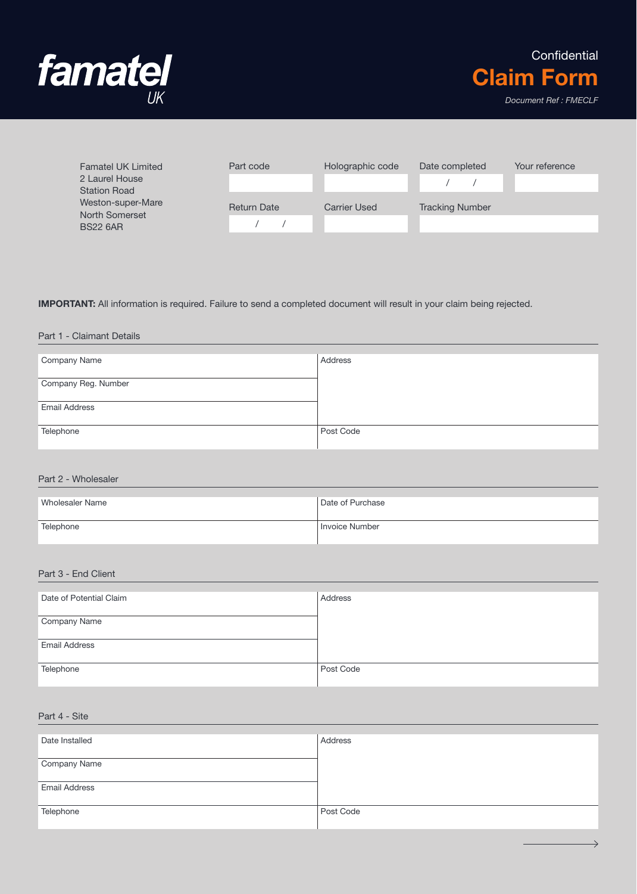

| <b>Famatel UK Limited</b>             | Part code          | Holographic code    | Date completed         | Your reference |
|---------------------------------------|--------------------|---------------------|------------------------|----------------|
| 2 Laurel House<br><b>Station Road</b> |                    |                     |                        |                |
| Weston-super-Mare<br>North Somerset   | <b>Return Date</b> | <b>Carrier Used</b> | <b>Tracking Number</b> |                |
| <b>BS22 6AR</b>                       |                    |                     |                        |                |

#### IMPORTANT: All information is required. Failure to send a completed document will result in your claim being rejected.

#### Part 1 - Claimant Details

| Company Name         | Address   |
|----------------------|-----------|
| Company Reg. Number  |           |
| <b>Email Address</b> |           |
| Telephone            | Post Code |

#### Part 2 - Wholesaler

| Wholesaler Name | Date of Purchase      |
|-----------------|-----------------------|
| Telephone       | <b>Invoice Number</b> |

# Part 3 - End Client

| Date of Potential Claim | Address   |
|-------------------------|-----------|
| Company Name            |           |
| <b>Email Address</b>    |           |
| Telephone               | Post Code |

## Part 4 - Site

| Date Installed       | Address   |
|----------------------|-----------|
| Company Name         |           |
| <b>Email Address</b> |           |
| Telephone            | Post Code |